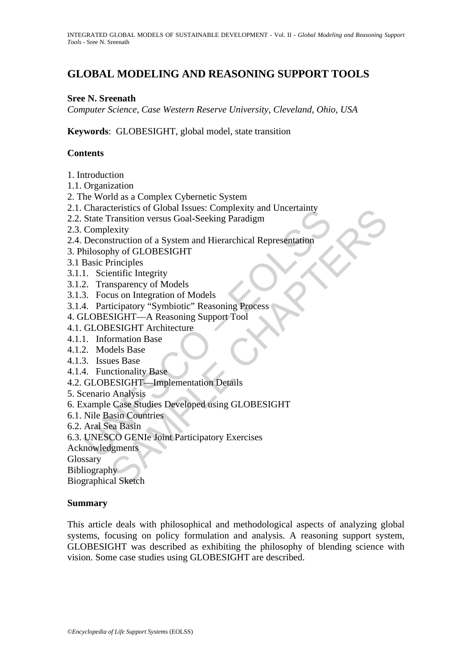# **GLOBAL MODELING AND REASONING SUPPORT TOOLS**

#### **Sree N. Sreenath**

*Computer Science, Case Western Reserve University, Cleveland, Ohio, USA* 

**Keywords**: GLOBESIGHT, global model, state transition

#### **Contents**

- 1. Introduction
- 1.1. Organization
- 2. The World as a Complex Cybernetic System
- 2.1. Characteristics of Global Issues: Complexity and Uncertainty
- 2.2. State Transition versus Goal-Seeking Paradigm
- 2.3. Complexity
- Characteristics of Global Issues. Complexity and Cheetianty<br>
State Transition versus Goal-Seeking Paradigm<br>
Complexity<br>
Deconstruction of a System and Hierarchical Representation<br>
hilosophy of GLOBESIGHT<br>
Basic Principles<br> Eteristics of Global Issues: Complexity and Oncertainty<br>
Transition versus Goal-Seeking Paradigm<br>
Exity<br>
struction of a System and Hierarchical Representation<br>
why of GLOBESIGHT<br>
Trinciples<br>
trinciples<br>
interpretion of Mod 2.4. Deconstruction of a System and Hierarchical Representation
- 3. Philosophy of GLOBESIGHT
- 3.1 Basic Principles
- 3.1.1. Scientific Integrity
- 3.1.2. Transparency of Models
- 3.1.3. Focus on Integration of Models
- 3.1.4. Participatory "Symbiotic" Reasoning Process
- 4. GLOBESIGHT—A Reasoning Support Tool
- 4.1. GLOBESIGHT Architecture
- 4.1.1. Information Base
- 4.1.2. Models Base
- 4.1.3. Issues Base
- 4.1.4. Functionality Base
- 4.2. GLOBESIGHT—Implementation Details
- 5. Scenario Analysis
- 6. Example Case Studies Developed using GLOBESIGHT
- 6.1. Nile Basin Countries
- 6.2. Aral Sea Basin
- 6.3. UNESCO GENIe Joint Participatory Exercises
- Acknowledgments
- **Glossary**

Bibliography

Biographical Sketch

#### **Summary**

This article deals with philosophical and methodological aspects of analyzing global systems, focusing on policy formulation and analysis. A reasoning support system, GLOBESIGHT was described as exhibiting the philosophy of blending science with vision. Some case studies using GLOBESIGHT are described.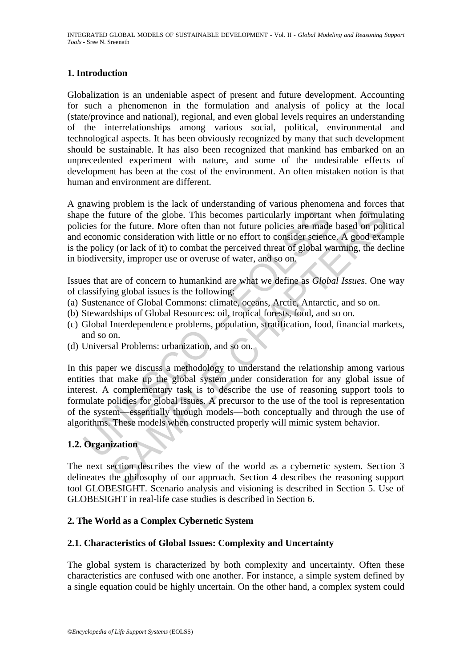### **1. Introduction**

Globalization is an undeniable aspect of present and future development. Accounting for such a phenomenon in the formulation and analysis of policy at the local (state/province and national), regional, and even global levels requires an understanding of the interrelationships among various social, political, environmental and technological aspects. It has been obviously recognized by many that such development should be sustainable. It has also been recognized that mankind has embarked on an unprecedented experiment with nature, and some of the undesirable effects of development has been at the cost of the environment. An often mistaken notion is that human and environment are different.

A gnawing problem is the lack of understanding of various phenomena and forces that shape the future of the globe. This becomes particularly important when formulating policies for the future. More often than not future policies are made based on political and economic consideration with little or no effort to consider science. A good example is the policy (or lack of it) to combat the perceived threat of global warming, the decline in biodiversity, improper use or overuse of water, and so on.

Issues that are of concern to humankind are what we define as *Global Issues*. One way of classifying global issues is the following:

- (a) Sustenance of Global Commons: climate, oceans, Arctic, Antarctic, and so on.
- (b) Stewardships of Global Resources: oil, tropical forests, food, and so on.
- (c) Global Interdependence problems, population, stratification, food, financial markets, and so on.
- (d) Universal Problems: urbanization, and so on.

be the future of the globe. This becomes particularly important<br>cies for the future. More often than not future policies are made<br>economic consideration with little or no effort to consider science<br>e policy (or lack of it) future of the globe. This becomes particularly important when formula<br>the future of the globe. This becomes particularly important when formula<br>the future. More often than not future policies are made based on poli<br>inc con In this paper we discuss a methodology to understand the relationship among various entities that make up the global system under consideration for any global issue of interest. A complementary task is to describe the use of reasoning support tools to formulate policies for global issues. A precursor to the use of the tool is representation of the system—essentially through models—both conceptually and through the use of algorithms. These models when constructed properly will mimic system behavior.

## **1.2. Organization**

The next section describes the view of the world as a cybernetic system. Section 3 delineates the philosophy of our approach. Section 4 describes the reasoning support tool GLOBESIGHT. Scenario analysis and visioning is described in Section 5. Use of GLOBESIGHT in real-life case studies is described in Section 6.

### **2. The World as a Complex Cybernetic System**

### **2.1. Characteristics of Global Issues: Complexity and Uncertainty**

The global system is characterized by both complexity and uncertainty. Often these characteristics are confused with one another. For instance, a simple system defined by a single equation could be highly uncertain. On the other hand, a complex system could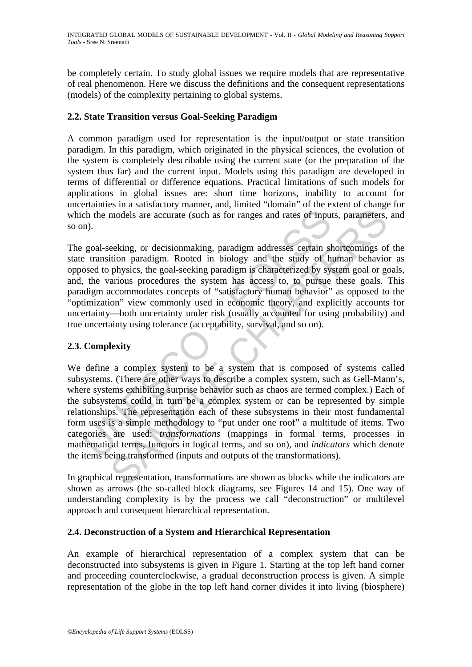be completely certain. To study global issues we require models that are representative of real phenomenon. Here we discuss the definitions and the consequent representations (models) of the complexity pertaining to global systems.

#### **2.2. State Transition versus Goal-Seeking Paradigm**

A common paradigm used for representation is the input/output or state transition paradigm. In this paradigm, which originated in the physical sciences, the evolution of the system is completely describable using the current state (or the preparation of the system thus far) and the current input. Models using this paradigm are developed in terms of differential or difference equations. Practical limitations of such models for applications in global issues are: short time horizons, inability to account for uncertainties in a satisfactory manner, and, limited "domain" of the extent of change for which the models are accurate (such as for ranges and rates of inputs, parameters, and so on).

The goal-seeking, or decisionmaking, paradigm addresses certain shortcomings of the state transition paradigm. Rooted in biology and the study of human behavior as opposed to physics, the goal-seeking paradigm is characterized by system goal or goals, and, the various procedures the system has access to, to pursue these goals. This paradigm accommodates concepts of "satisfactory human behavior" as opposed to the "optimization" view commonly used in economic theory, and explicitly accounts for uncertainty—both uncertainty under risk (usually accounted for using probability) and true uncertainty using tolerance (acceptability, survival, and so on).

### **2.3. Complexity**

the models are accurate (such as for ranges and rates of inpun).<br>
goal-seeking, or decisionmaking, paradigm addresses certain steading that the transition paradigm. Rooted in biology and the study of h<br>
broad to physics, t models are accurate (such as for ranges and rates of inputs, parameters,<br>eeking, or decisionmaking, paradigm addresses certain shortcomings of<br>ition paradigm. Rooted in biology and the study of human behavio<br>physics, the g We define a complex system to be a system that is composed of systems called subsystems. (There are other ways to describe a complex system, such as Gell-Mann's, where systems exhibiting surprise behavior such as chaos are termed complex.) Each of the subsystems could in turn be a complex system or can be represented by simple relationships. The representation each of these subsystems in their most fundamental form uses is a simple methodology to "put under one roof" a multitude of items. Two categories are used: *transformations* (mappings in formal terms, processes in mathematical terms, functors in logical terms, and so on), and *indicators* which denote the items being transformed (inputs and outputs of the transformations).

In graphical representation, transformations are shown as blocks while the indicators are shown as arrows (the so-called block diagrams, see Figures 14 and 15). One way of understanding complexity is by the process we call "deconstruction" or multilevel approach and consequent hierarchical representation.

#### **2.4. Deconstruction of a System and Hierarchical Representation**

An example of hierarchical representation of a complex system that can be deconstructed into subsystems is given in Figure 1. Starting at the top left hand corner and proceeding counterclockwise, a gradual deconstruction process is given. A simple representation of the globe in the top left hand corner divides it into living (biosphere)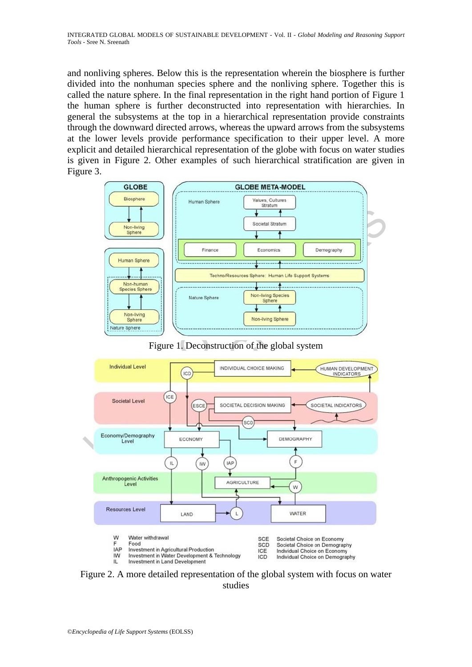and nonliving spheres. Below this is the representation wherein the biosphere is further divided into the nonhuman species sphere and the nonliving sphere. Together this is called the nature sphere. In the final representation in the right hand portion of Figure 1 the human sphere is further deconstructed into representation with hierarchies. In general the subsystems at the top in a hierarchical representation provide constraints through the downward directed arrows, whereas the upward arrows from the subsystems at the lower levels provide performance specification to their upper level. A more explicit and detailed hierarchical representation of the globe with focus on water studies is given in Figure 2. Other examples of such hierarchical stratification are given in Figure 3.



Figure 1. Deconstruction of the global system



Figure 2. A more detailed representation of the global system with focus on water studies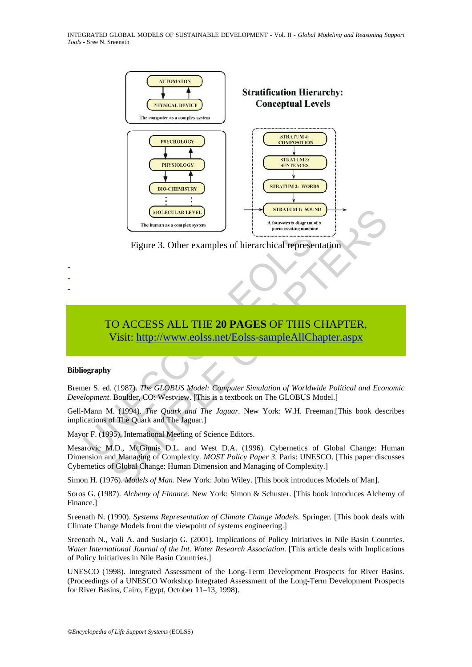INTEGRATED GLOBAL MODELS OF SUSTAINABLE DEVELOPMENT - Vol. II - *Global Modeling and Reasoning Support Tools* - Sree N. Sreenath



Figure 3. Other examples of hierarchical representation

# TO ACCESS ALL THE **20 PAGES** OF THIS CHAPTER, Visit: http://www.eolss.net/Eolss-sampleAllChapter.aspx

#### **Bibliography**

- - -

Bremer S. ed. (1987). *The GLOBUS Model: Computer Simulation of Worldwide Political and Economic Development*. Boulder, CO: Westview. [This is a textbook on The GLOBUS Model.]

Gell-Mann M. (1994). *The Quark and The Jaguar.* New York: W.H. Freeman.[This book describes implications of The Quark and The Jaguar.]

Mayor F. (1995). International Meeting of Science Editors.

Mesarovic M.D., McGinnis D.L. and West D.A. (1996). Cybernetics of Global Change: Human Dimension and Managing of Complexity. *MOST Policy Paper 3*. Paris: UNESCO. [This paper discusses Cybernetics of Global Change: Human Dimension and Managing of Complexity.]

Simon H. (1976). *Models of Man*. New York: John Wiley. [This book introduces Models of Man].

Soros G. (1987). *Alchemy of Finance*. New York: Simon & Schuster. [This book introduces Alchemy of Finance.]

Sreenath N. (1990). *Systems Representation of Climate Change Models*. Springer. [This book deals with Climate Change Models from the viewpoint of systems engineering.]

Sreenath N., Vali A. and Susiarjo G. (2001). Implications of Policy Initiatives in Nile Basin Countries. *Water International Journal of the Int. Water Research Association*. [This article deals with Implications of Policy Initiatives in Nile Basin Countries.]

UNESCO (1998). Integrated Assessment of the Long-Term Development Prospects for River Basins. (Proceedings of a UNESCO Workshop Integrated Assessment of the Long-Term Development Prospects for River Basins, Cairo, Egypt, October 11–13, 1998).